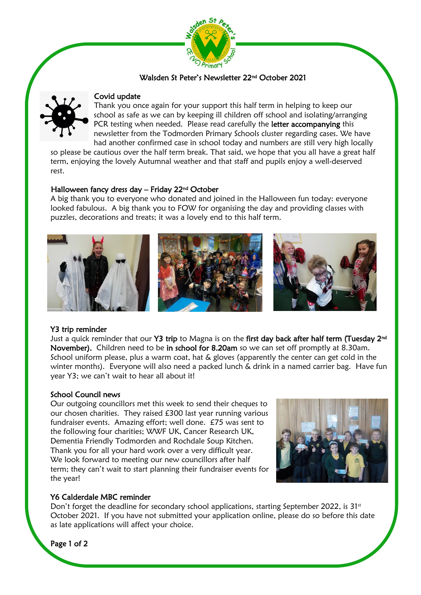

## Walsden St Peter's Newsletter 22nd October 2021



#### Covid update

Thank you once again for your support this half term in helping to keep our school as safe as we can by keeping ill children off school and isolating/arranging PCR testing when needed. Please read carefully the letter accompanying this newsletter from the Todmorden Primary Schools cluster regarding cases. We have had another confirmed case in school today and numbers are still very high locally

so please be cautious over the half term break. That said, we hope that you all have a great half term, enjoying the lovely Autumnal weather and that staff and pupils enjoy a well-deserved rest.

#### Halloween fancy dress day – Friday 22nd October

A big thank you to everyone who donated and joined in the Halloween fun today: everyone looked fabulous. A big thank you to FOW for organising the day and providing classes with puzzles, decorations and treats; it was a lovely end to this half term.



## Y3 trip reminder

Just a quick reminder that our Y3 trip to Magna is on the first day back after half term (Tuesday 2<sup>nd</sup> November). Children need to be in school for 8.20am so we can set off promptly at 8.30am. School uniform please, plus a warm coat, hat & gloves (apparently the center can get cold in the winter months). Everyone will also need a packed lunch & drink in a named carrier bag. Have fun year Y3; we can't wait to hear all about it!

## School Council news

Our outgoing councillors met this week to send their cheques to our chosen charities. They raised £300 last year running various fundraiser events. Amazing effort; well done. £75 was sent to the following four charities; WWF UK, Cancer Research UK, Dementia Friendly Todmorden and Rochdale Soup Kitchen. Thank you for all your hard work over a very difficult year. We look forward to meeting our new councillors after half term; they can't wait to start planning their fundraiser events for the year!



## Y6 Calderdale MBC reminder

Don't forget the deadline for secondary school applications, starting September 2022, is  $31<sup>st</sup>$ October 2021. If you have not submitted your application online, please do so before this date as late applications will affect your choice.

Page 1 of 2